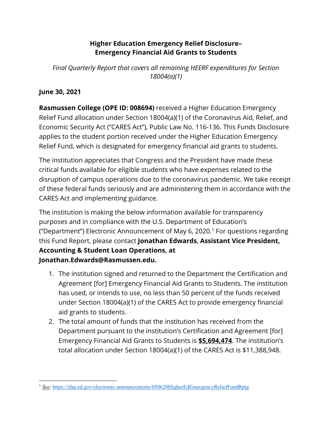## **Higher Education Emergency Relief Disclosure– Emergency Financial Aid Grants to Students**

*Final Quarterly Report that covers all remaining HEERF expenditures for Section 18004(a)(1)*

# **June 30, 2021**

**Rasmussen College (OPE ID: 008694)** received a Higher Education Emergency Relief Fund allocation under Section 18004(a)(1) of the Coronavirus Aid, Relief, and Economic Security Act ("CARES Act"), Public Law No. 116-136. This Funds Disclosure applies to the student portion received under the Higher Education Emergency Relief Fund, which is designated for emergency financial aid grants to students.

The institution appreciates that Congress and the President have made these critical funds available for eligible students who have expenses related to the disruption of campus operations due to the coronavirus pandemic. We take receipt of these federal funds seriously and are administering them in accordance with the CARES Act and implementing guidance.

The institution is making the below information available for transparency purposes and in compliance with the U.S. Department of Education's ("Department") Electronic Announcement of May 6, 2020. <sup>1</sup> For questions regarding this Fund Report, please contact **Jonathan Edwards**, **Assistant Vice President, Accounting & Student Loan Operations, at Jonathan.Edwards@Rasmussen.edu.**

- 1. The institution signed and returned to the Department the Certification and Agreement [for] Emergency Financial Aid Grants to Students. The institution has used, or intends to use, no less than 50 percent of the funds received under Section 18004(a)(1) of the CARES Act to provide emergency financial aid grants to students.
- 2. The total amount of funds that the institution has received from the Department pursuant to the institution's Certification and Agreement [for] Emergency Financial Aid Grants to Students is **\$5,694,474**. The institution's total allocation under Section 18004(a)(1) of the CARES Act is \$11,388,948.

l <sup>1</sup> See: https://ifap.ed.gov/electronic-announcements/050620HigherEdEmergencyReliefFundRptg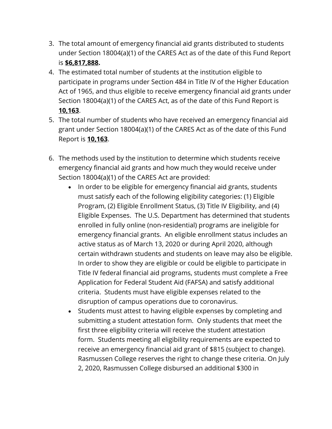- 3. The total amount of emergency financial aid grants distributed to students under Section 18004(a)(1) of the CARES Act as of the date of this Fund Report is **\$6,817,888.**
- 4. The estimated total number of students at the institution eligible to participate in programs under Section 484 in Title IV of the Higher Education Act of 1965, and thus eligible to receive emergency financial aid grants under Section 18004(a)(1) of the CARES Act, as of the date of this Fund Report is **10,163**.
- 5. The total number of students who have received an emergency financial aid grant under Section 18004(a)(1) of the CARES Act as of the date of this Fund Report is **10,163**.
- 6. The methods used by the institution to determine which students receive emergency financial aid grants and how much they would receive under Section 18004(a)(1) of the CARES Act are provided:
	- In order to be eligible for emergency financial aid grants, students must satisfy each of the following eligibility categories: (1) Eligible Program, (2) Eligible Enrollment Status, (3) Title IV Eligibility, and (4) Eligible Expenses. The U.S. Department has determined that students enrolled in fully online (non-residential) programs are ineligible for emergency financial grants. An eligible enrollment status includes an active status as of March 13, 2020 or during April 2020, although certain withdrawn students and students on leave may also be eligible. In order to show they are eligible or could be eligible to participate in Title IV federal financial aid programs, students must complete a Free Application for Federal Student Aid (FAFSA) and satisfy additional criteria. Students must have eligible expenses related to the disruption of campus operations due to coronavirus.
	- Students must attest to having eligible expenses by completing and submitting a student attestation form. Only students that meet the first three eligibility criteria will receive the student attestation form. Students meeting all eligibility requirements are expected to receive an emergency financial aid grant of \$815 (subject to change). Rasmussen College reserves the right to change these criteria. On July 2, 2020, Rasmussen College disbursed an additional \$300 in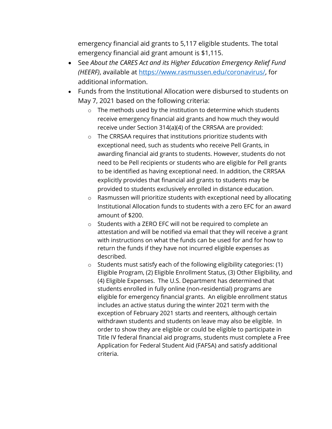emergency financial aid grants to 5,117 eligible students. The total emergency financial aid grant amount is \$1,115.

- See *About the CARES Act and its Higher Education Emergency Relief Fund (HEERF)*, available at https://www.rasmussen.edu/coronavirus/, for additional information.
- Funds from the Institutional Allocation were disbursed to students on May 7, 2021 based on the following criteria:
	- o The methods used by the institution to determine which students receive emergency financial aid grants and how much they would receive under Section 314(a)(4) of the CRRSAA are provided:
	- o The CRRSAA requires that institutions prioritize students with exceptional need, such as students who receive Pell Grants, in awarding financial aid grants to students. However, students do not need to be Pell recipients or students who are eligible for Pell grants to be identified as having exceptional need. In addition, the CRRSAA explicitly provides that financial aid grants to students may be provided to students exclusively enrolled in distance education.
	- o Rasmussen will prioritize students with exceptional need by allocating Institutional Allocation funds to students with a zero EFC for an award amount of \$200.
	- o Students with a ZERO EFC will not be required to complete an attestation and will be notified via email that they will receive a grant with instructions on what the funds can be used for and for how to return the funds if they have not incurred eligible expenses as described.
	- o Students must satisfy each of the following eligibility categories: (1) Eligible Program, (2) Eligible Enrollment Status, (3) Other Eligibility, and (4) Eligible Expenses. The U.S. Department has determined that students enrolled in fully online (non-residential) programs are eligible for emergency financial grants. An eligible enrollment status includes an active status during the winter 2021 term with the exception of February 2021 starts and reenters, although certain withdrawn students and students on leave may also be eligible. In order to show they are eligible or could be eligible to participate in Title IV federal financial aid programs, students must complete a Free Application for Federal Student Aid (FAFSA) and satisfy additional criteria.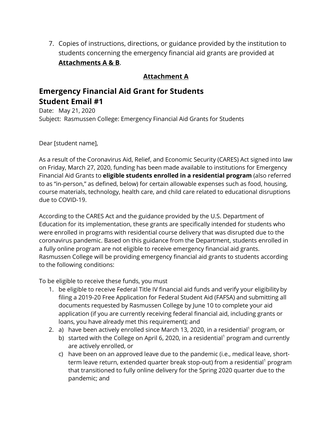7. Copies of instructions, directions, or guidance provided by the institution to students concerning the emergency financial aid grants are provided at **Attachments A & B**.

## **Attachment A**

# **Emergency Financial Aid Grant for Students Student Email #1**

Date: May 21, 2020 Subject: Rasmussen College: Emergency Financial Aid Grants for Students

Dear [student name],

As a result of the Coronavirus Aid, Relief, and Economic Security (CARES) Act signed into law on Friday, March 27, 2020, funding has been made available to institutions for Emergency Financial Aid Grants to **eligible students enrolled in a residential program** (also referred to as "in-person," as defined, below) for certain allowable expenses such as food, housing, course materials, technology, health care, and child care related to educational disruptions due to COVID-19.

According to the CARES Act and the guidance provided by the U.S. Department of Education for its implementation, these grants are specifically intended for students who were enrolled in programs with residential course delivery that was disrupted due to the coronavirus pandemic. Based on this guidance from the Department, students enrolled in a fully online program are not eligible to receive emergency financial aid grants. Rasmussen College will be providing emergency financial aid grants to students according to the following conditions:

To be eligible to receive these funds, you must

- 1. be eligible to receive Federal Title IV financial aid funds and verify your eligibility by filing a 2019-20 Free Application for Federal Student Aid (FAFSA) and submitting all documents requested by Rasmussen College by June 10 to complete your aid application (if you are currently receiving federal financial aid, including grants or loans, you have already met this requirement); and
- 2. a) have been actively enrolled since March 13, 2020, in a residential<sup>1</sup> program, or
	- b) started with the College on April 6, 2020, in a residential<sup>1</sup> program and currently are actively enrolled, or
	- c) have been on an approved leave due to the pandemic (i.e., medical leave, shortterm leave return, extended quarter break stop-out) from a residential<sup>1</sup> program that transitioned to fully online delivery for the Spring 2020 quarter due to the pandemic; and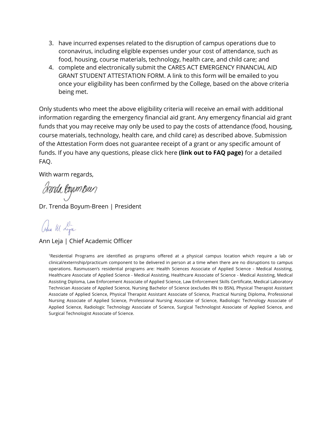- 3. have incurred expenses related to the disruption of campus operations due to coronavirus, including eligible expenses under your cost of attendance, such as food, housing, course materials, technology, health care, and child care; and
- 4. complete and electronically submit the CARES ACT EMERGENCY FINANCIAL AID GRANT STUDENT ATTESTATION FORM. A link to this form will be emailed to you once your eligibility has been confirmed by the College, based on the above criteria being met.

Only students who meet the above eligibility criteria will receive an email with additional information regarding the emergency financial aid grant. Any emergency financial aid grant funds that you may receive may only be used to pay the costs of attendance (food, housing, course materials, technology, health care, and child care) as described above. Submission of the Attestation Form does not guarantee receipt of a grant or any specific amount of funds. If you have any questions, please click here **(link out to FAQ page)** for a detailed FAQ.

With warm regards,

drenda logum seen

Dr. Trenda Boyum-Breen | President

alu M Lya

Ann Leja | Chief Academic Officer

1 Residential Programs are identified as programs offered at a physical campus location which require a lab or clinical/externship/practicum component to be delivered in person at a time when there are no disruptions to campus operations. Rasmussen's residential programs are: Health Sciences Associate of Applied Science - Medical Assisting, Healthcare Associate of Applied Science - Medical Assisting, Healthcare Associate of Science - Medical Assisting, Medical Assisting Diploma, Law Enforcement Associate of Applied Science, Law Enforcement Skills Certificate, Medical Laboratory Technician Associate of Applied Science, Nursing Bachelor of Science (excludes RN to BSN), Physical Therapist Assistant Associate of Applied Science, Physical Therapist Assistant Associate of Science, Practical Nursing Diploma, Professional Nursing Associate of Applied Science, Professional Nursing Associate of Science, Radiologic Technology Associate of Applied Science, Radiologic Technology Associate of Science, Surgical Technologist Associate of Applied Science, and Surgical Technologist Associate of Science.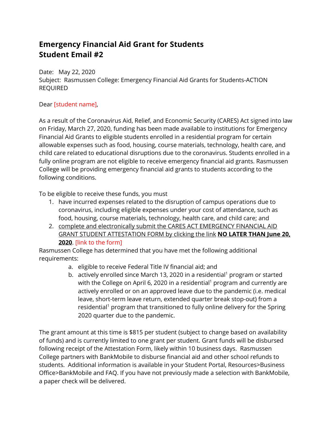# **Emergency Financial Aid Grant for Students Student Email #2**

Date: May 22, 2020 Subject: Rasmussen College: Emergency Financial Aid Grants for Students-ACTION REQUIRED

### Dear [student name],

As a result of the Coronavirus Aid, Relief, and Economic Security (CARES) Act signed into law on Friday, March 27, 2020, funding has been made available to institutions for Emergency Financial Aid Grants to eligible students enrolled in a residential program for certain allowable expenses such as food, housing, course materials, technology, health care, and child care related to educational disruptions due to the coronavirus. Students enrolled in a fully online program are not eligible to receive emergency financial aid grants. Rasmussen College will be providing emergency financial aid grants to students according to the following conditions.

To be eligible to receive these funds, you must

- 1. have incurred expenses related to the disruption of campus operations due to coronavirus, including eligible expenses under your cost of attendance, such as food, housing, course materials, technology, health care, and child care; and
- 2. complete and electronically submit the CARES ACT EMERGENCY FINANCIAL AID GRANT STUDENT ATTESTATION FORM by clicking the link **NO LATER THAN June 20, 2020**. [link to the form]

Rasmussen College has determined that you have met the following additional requirements:

- a. eligible to receive Federal Title IV financial aid; and
- b. actively enrolled since March 13, 2020 in a residential<sup>1</sup> program or started with the College on April 6, 2020 in a residential<sup>1</sup> program and currently are actively enrolled or on an approved leave due to the pandemic (i.e. medical leave, short-term leave return, extended quarter break stop-out) from a residential<sup>1</sup> program that transitioned to fully online delivery for the Spring 2020 quarter due to the pandemic.

The grant amount at this time is \$815 per student (subject to change based on availability of funds) and is currently limited to one grant per student. Grant funds will be disbursed following receipt of the Attestation Form, likely within 10 business days. Rasmussen College partners with BankMobile to disburse financial aid and other school refunds to students. Additional information is available in your Student Portal, Resources>Business Office>BankMobile and FAQ. If you have not previously made a selection with BankMobile, a paper check will be delivered.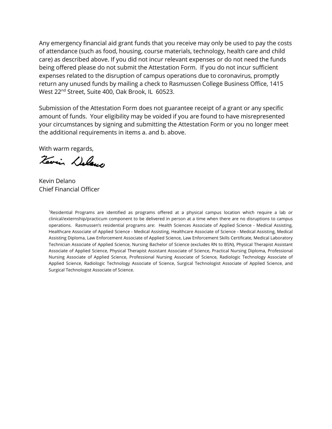Any emergency financial aid grant funds that you receive may only be used to pay the costs of attendance (such as food, housing, course materials, technology, health care and child care) as described above. If you did not incur relevant expenses or do not need the funds being offered please do not submit the Attestation Form. If you do not incur sufficient expenses related to the disruption of campus operations due to coronavirus, promptly return any unused funds by mailing a check to Rasmussen College Business Office, 1415 West 22<sup>nd</sup> Street, Suite 400, Oak Brook, IL 60523.

Submission of the Attestation Form does not guarantee receipt of a grant or any specific amount of funds. Your eligibility may be voided if you are found to have misrepresented your circumstances by signing and submitting the Attestation Form or you no longer meet the additional requirements in items a. and b. above.

With warm regards,

Terrin Deland

Kevin Delano Chief Financial Officer

1 Residential Programs are identified as programs offered at a physical campus location which require a lab or clinical/externship/practicum component to be delivered in person at a time when there are no disruptions to campus operations. Rasmussen's residential programs are: Health Sciences Associate of Applied Science - Medical Assisting, Healthcare Associate of Applied Science - Medical Assisting, Healthcare Associate of Science - Medical Assisting, Medical Assisting Diploma, Law Enforcement Associate of Applied Science, Law Enforcement Skills Certificate, Medical Laboratory Technician Associate of Applied Science, Nursing Bachelor of Science (excludes RN to BSN), Physical Therapist Assistant Associate of Applied Science, Physical Therapist Assistant Associate of Science, Practical Nursing Diploma, Professional Nursing Associate of Applied Science, Professional Nursing Associate of Science, Radiologic Technology Associate of Applied Science, Radiologic Technology Associate of Science, Surgical Technologist Associate of Applied Science, and Surgical Technologist Associate of Science.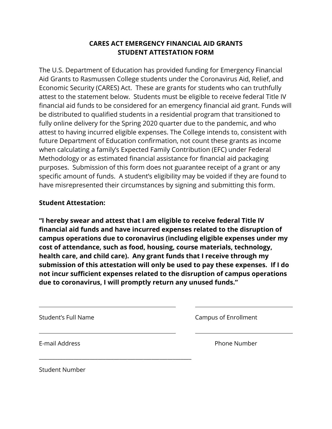## **CARES ACT EMERGENCY FINANCIAL AID GRANTS STUDENT ATTESTATION FORM**

The U.S. Department of Education has provided funding for Emergency Financial Aid Grants to Rasmussen College students under the Coronavirus Aid, Relief, and Economic Security (CARES) Act. These are grants for students who can truthfully attest to the statement below. Students must be eligible to receive federal Title IV financial aid funds to be considered for an emergency financial aid grant. Funds will be distributed to qualified students in a residential program that transitioned to fully online delivery for the Spring 2020 quarter due to the pandemic, and who attest to having incurred eligible expenses. The College intends to, consistent with future Department of Education confirmation, not count these grants as income when calculating a family's Expected Family Contribution (EFC) under Federal Methodology or as estimated financial assistance for financial aid packaging purposes. Submission of this form does not guarantee receipt of a grant or any specific amount of funds. A student's eligibility may be voided if they are found to have misrepresented their circumstances by signing and submitting this form.

### **Student Attestation:**

**"I hereby swear and attest that I am eligible to receive federal Title IV financial aid funds and have incurred expenses related to the disruption of campus operations due to coronavirus (including eligible expenses under my cost of attendance, such as food, housing, course materials, technology, health care, and child care). Any grant funds that I receive through my submission of this attestation will only be used to pay these expenses. If I do not incur sufficient expenses related to the disruption of campus operations due to coronavirus, I will promptly return any unused funds."**

| <b>Student's Full Name</b> | Campus of Enrollment |
|----------------------------|----------------------|
| E-mail Address             | Phone Number         |
| <b>Student Number</b>      |                      |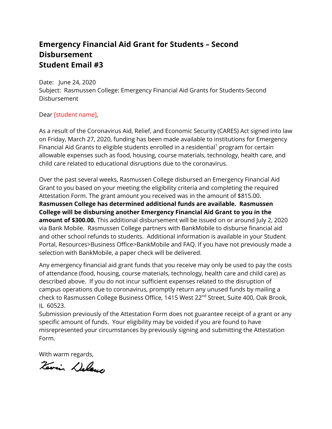# **Emergency Financial Aid Grant for Students – Second Disbursement Student Email #3**

Date: June 24, 2020 Subject: Rasmussen College: Emergency Financial Aid Grants for Students-Second Disbursement

#### Dear [student name],

As a result of the Coronavirus Aid, Relief, and Economic Security (CARES) Act signed into law on Friday, March 27, 2020, funding has been made available to institutions for Emergency Financial Aid Grants to eligible students enrolled in a residential<sup>1</sup> program for certain allowable expenses such as food, housing, course materials, technology, health care, and child care related to educational disruptions due to the coronavirus.

Over the past several weeks, Rasmussen College disbursed an Emergency Financial Aid Grant to you based on your meeting the eligibility criteria and completing the required Attestation Form. The grant amount you received was in the amount of \$815.00. **Rasmussen College has determined additional funds are available. Rasmussen College will be disbursing another Emergency Financial Aid Grant to you in the amount of \$300.00.** This additional disbursement will be issued on or around July 2, 2020 via Bank Mobile. Rasmussen College partners with BankMobile to disburse financial aid and other school refunds to students. Additional information is available in your Student Portal, Resources>Business Office>BankMobile and FAQ. If you have not previously made a selection with BankMobile, a paper check will be delivered.

Any emergency financial aid grant funds that you receive may only be used to pay the costs of attendance (food, housing, course materials, technology, health care and child care) as described above. If you do not incur sufficient expenses related to the disruption of campus operations due to coronavirus, promptly return any unused funds by mailing a check to Rasmussen College Business Office, 1415 West 22<sup>nd</sup> Street, Suite 400, Oak Brook, IL 60523.

Submission previously of the Attestation Form does not guarantee receipt of a grant or any specific amount of funds. Your eligibility may be voided if you are found to have misrepresented your circumstances by previously signing and submitting the Attestation Form.

With warm regards,

Tevin Delano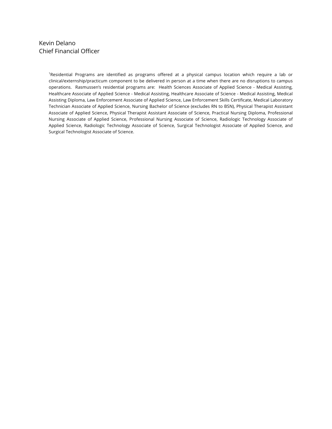#### Kevin Delano Chief Financial Officer

1 Residential Programs are identified as programs offered at a physical campus location which require a lab or clinical/externship/practicum component to be delivered in person at a time when there are no disruptions to campus operations. Rasmussen's residential programs are: Health Sciences Associate of Applied Science - Medical Assisting, Healthcare Associate of Applied Science - Medical Assisting, Healthcare Associate of Science - Medical Assisting, Medical Assisting Diploma, Law Enforcement Associate of Applied Science, Law Enforcement Skills Certificate, Medical Laboratory Technician Associate of Applied Science, Nursing Bachelor of Science (excludes RN to BSN), Physical Therapist Assistant Associate of Applied Science, Physical Therapist Assistant Associate of Science, Practical Nursing Diploma, Professional Nursing Associate of Applied Science, Professional Nursing Associate of Science, Radiologic Technology Associate of Applied Science, Radiologic Technology Associate of Science, Surgical Technologist Associate of Applied Science, and Surgical Technologist Associate of Science.